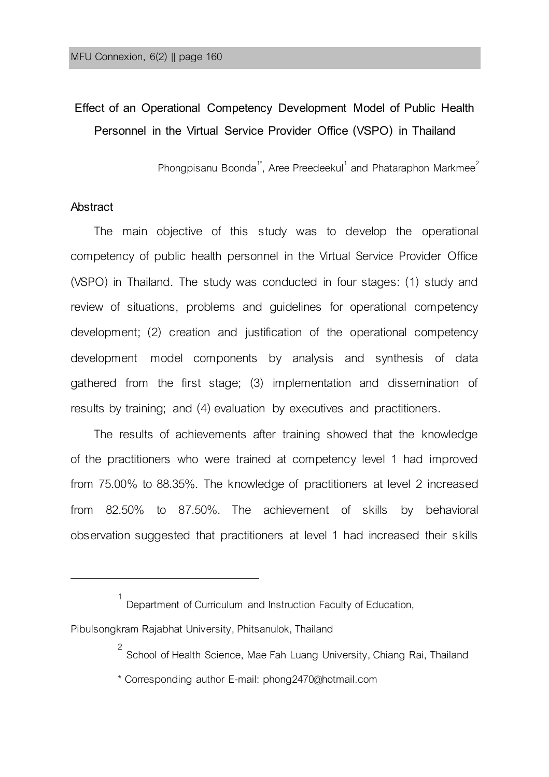## **Effect of an Operational Competency Development Model of Public Health Personnel in the Virtual Service Provider Office (VSPO) in Thailand**

Phongpisanu Boonda<sup>1\*</sup>, Aree Preedeekul<sup>1</sup> and Phataraphon Markmee<sup>2</sup>

#### **Abstract**

֦

The main objective of this study was to develop the operational competency of public health personnel in the Virtual Service Provider Office (VSPO) in Thailand. The study was conducted in four stages: (1) study and review of situations, problems and guidelines for operational competency development; (2) creation and justification of the operational competency development model components by analysis and synthesis of data gathered from the first stage; (3) implementation and dissemination of results by training; and (4) evaluation by executives and practitioners.

The results of achievements after training showed that the knowledge of the practitioners who were trained at competency level 1 had improved from 75.00% to 88.35%. The knowledge of practitioners at level 2 increased from 82.50% to 87.50%. The achievement of skills by behavioral observation suggested that practitioners at level 1 had increased their skills

\* Corresponding author E-mail: phong2470@hotmail.com

<sup>1</sup> Department of Curriculum and Instruction Faculty of Education,

Pibulsongkram Rajabhat University, Phitsanulok, Thailand

<sup>&</sup>lt;sup>2</sup> School of Health Science, Mae Fah Luang University, Chiang Rai, Thailand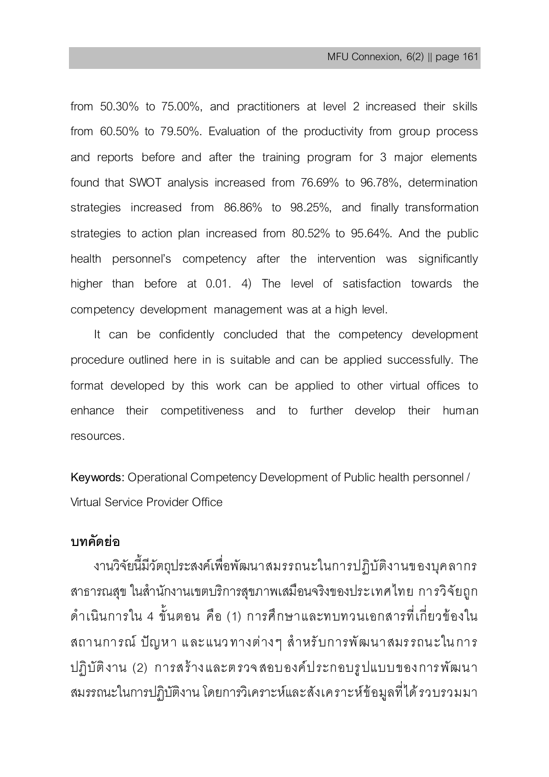from 50.30% to 75.00%, and practitioners at level 2 increased their skills from 60.50% to 79.50%. Evaluation of the productivity from group process and reports before and after the training program for 3 major elements found that SWOT analysis increased from 76.69% to 96.78%, determination strategies increased from 86.86% to 98.25%, and finally transformation strategies to action plan increased from 80.52% to 95.64%. And the public health personnel's competency after the intervention was significantly higher than before at 0.01. 4) The level of satisfaction towards the competency development management was at a high level.

It can be confidently concluded that the competency development procedure outlined here in is suitable and can be applied successfully. The format developed by this work can be applied to other virtual offices to enhance their competitiveness and to further develop their human resources.

**Keywords:** Operational Competency Development of Public health personnel / Virtual Service Provider Office

## **บทคัดย่อ**

งานวิจัยนี้มีวัตถุประสงค์เพื่อพัฒนาสมรรถนะในการปฏิบัติงานของบุคลากร สาธารณสุข ในส านักงานเขตบริการสุขภาพเสมือนจริงของประเทศไทย การวิจัยถูก ด าเนินการใน 4 ขั้นตอน คือ (1) การศึกษาและทบทวนเอกสารที่เกี่ยวข้องใน สถานการณ์ ปัญหา และแนวทางต่างๆ สำหรับการพัฒนาสมรรถนะในการ ปฏิบัติงาน (2) การสร้างและต รวจ สอบองค์ประกอบรูปแบบของการพัฒน า สมรรถนะในการปฏิบัติงาน โดยการวิเคราะห์และสังเคราะห์ข้อมูลที่ได้รวบรวมมา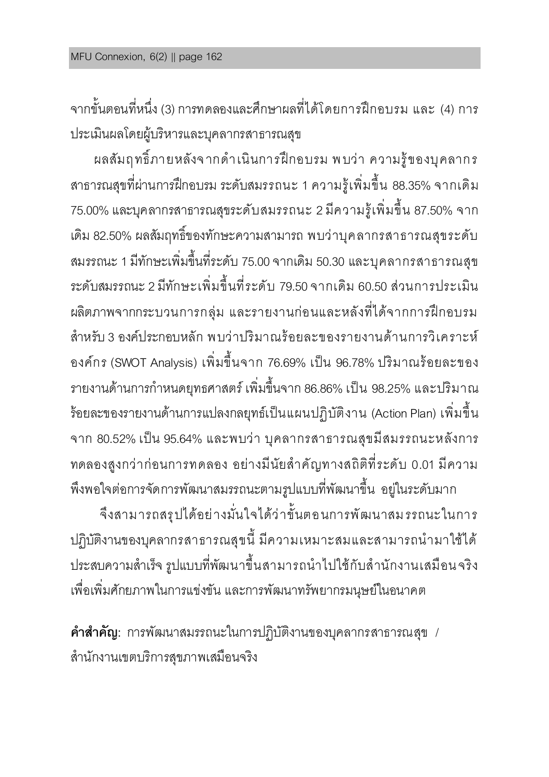จากขั้นตอนที่หนึ่ง (3) การทดลองและศึกษาผลที่ได้โดยการฝึกอบรม และ (4) การ ประเมินผลโดยผู้บริหารและบุคลากรสาธารณสุข

ผลสัมฤทธิ์ภายหลังจากดำเนินการฝึกอบรม พบว่า ความรู้ของบุคลากร สาธารณสุขที่ผ่านการฝึกอบรม ระดับสมรรถนะ 1 ความรู้เพิ่มขึ้น 88.35% จากเดิม 75.00% และบุคลากรสาธารณสุขระดับสมรรถนะ 2 มีความรู้เพิ่มขึ้น 87.50% จาก เดิม 82.50% ผลสัมฤทธิ์ของทักษะความสามารถ พบว่าบุคลากรสาธารณสุขระดับ สมรรถนะ1 มีทักษะเพิ่มขึ้นที่ระดับ 75.00 จากเดิม 50.30 และบุคลากรสาธารณสุข ระดับสมรรถนะ2 มีทักษะเพิ่มขึ้นที่ระดับ 79.50 จากเดิม 60.50 ส่วนการประเมิน ผลิตภาพจากกระบวนการกลุ่ม และรายงานก่อนและหลังที่ได้จากการฝึกอบรม สำหรับ 3 องค์ประกอบหลัก พบว่าปริมาณร้อยละของรายงานด้านการวิเคราะห์ องค์กร (SWOT Analysis) เพิ่มขึ้นจาก 76.69% เป็น 96.78% ปริมาณร้อยละของ รายงานด้านการกำหนดยทธศาสตร์ เพิ่มขึ้นจาก 86.86% เป็น 98.25% และปริมาณ ร้อยละของรายงานด้านการแปลงกลยุทธ์เป็นแผนปฏิบัติงาน (Action Plan) เพิ่มขึ้น จาก 80.52% เป็น 95.64% และพบว่า บุคลากรสาธารณสุขมีสมรรถนะหลังการ ทดลองสูงกว่าก่อนการทดลอง อย่างมีนัยสำคัญทางสถิติที่ระดับ 0.01 มีความ

พึงพอใจต่อการจัดการพัฒนาสมรรถนะตามรูปแบบที่พัฒนาขึ้น อยู่ในระดับมาก จึงสามารถสรุปได้อย่างมั่นใจได้ว่าขั้นตอนการพัฒนาสมรรถนะในการ ปฏิบัติงานของบุคลากรสาธารณสุขนี้ มีความเหมาะสมและสามารถนำมาใช้ได้ ประสบความสำเร็จ รูปแบบที่พัฒนาขึ้นสามารถนำไปใช้กับสำนักงานเสมือน จริง เพื่อเพิ่มศักยภาพในการแข่งขัน และการพัฒนาทรัพยากรมนุษย์ในอนาคต

**ค ำส ำคัญ:** การพัฒนาสมรรถนะในการปฏิบัติงานของบุคลากรสาธารณสุข / ส านักงานเขตบริการสุขภาพเสมือนจริง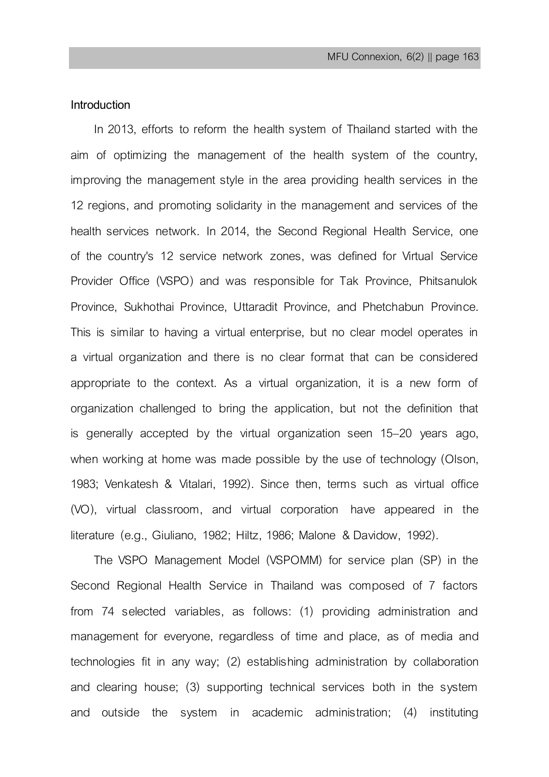### **Introduction**

In 2013, efforts to reform the health system of Thailand started with the aim of optimizing the management of the health system of the country, improving the management style in the area providing health services in the 12 regions, and promoting solidarity in the management and services of the health services network. In 2014, the Second Regional Health Service, one of the country's 12 service network zones, was defined for Virtual Service Provider Office (VSPO) and was responsible for Tak Province, Phitsanulok Province, Sukhothai Province, Uttaradit Province, and Phetchabun Province. This is similar to having a virtual enterprise, but no clear model operates in a virtual organization and there is no clear format that can be considered appropriate to the context. As a virtual organization, it is a new form of organization challenged to bring the application, but not the definition that is generally accepted by the virtual organization seen 15–20 years ago, when working at home was made possible by the use of technology (Olson, 1983; Venkatesh & Vitalari, 1992). Since then, terms such as virtual office (VO), virtual classroom, and virtual corporation have appeared in the literature (e.g., Giuliano, 1982; Hiltz, 1986; Malone & Davidow, 1992).

The VSPO Management Model (VSPOMM) for service plan (SP) in the Second Regional Health Service in Thailand was composed of 7 factors from 74 selected variables, as follows: (1) providing administration and management for everyone, regardless of time and place, as of media and technologies fit in any way; (2) establishing administration by collaboration and clearing house; (3) supporting technical services both in the system and outside the system in academic administration; (4) instituting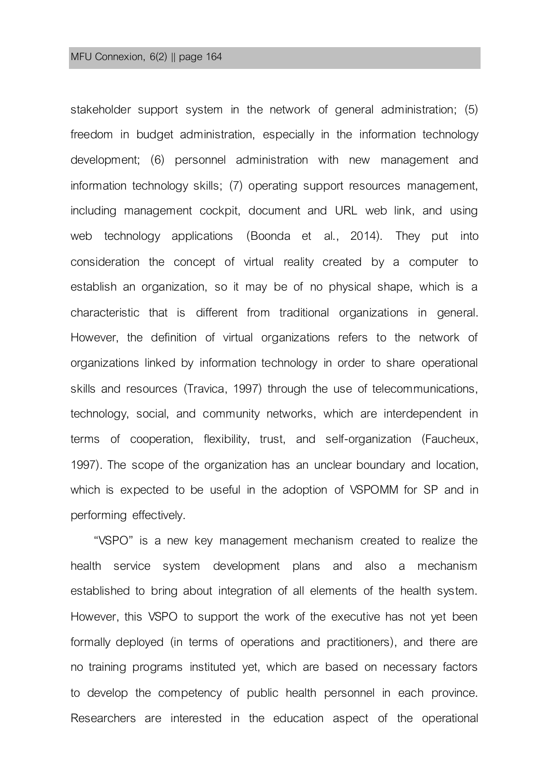#### MFU Connexion, 6(2) || page 164

stakeholder support system in the network of general administration; (5) freedom in budget administration, especially in the information technology development; (6) personnel administration with new management and information technology skills; (7) operating support resources management, including management cockpit, document and URL web link, and using web technology applications (Boonda et al., 2014). They put into consideration the concept of virtual reality created by a computer to establish an organization, so it may be of no physical shape, which is a characteristic that is different from traditional organizations in general. However, the definition of virtual organizations refers to the network of organizations linked by information technology in order to share operational skills and resources (Travica, 1997) through the use of telecommunications, technology, social, and community networks, which are interdependent in terms of cooperation, flexibility, trust, and self-organization (Faucheux, 1997). The scope of the organization has an unclear boundary and location, which is expected to be useful in the adoption of VSPOMM for SP and in performing effectively.

"VSPO" is a new key management mechanism created to realize the health service system development plans and also a mechanism established to bring about integration of all elements of the health system. However, this VSPO to support the work of the executive has not yet been formally deployed (in terms of operations and practitioners), and there are no training programs instituted yet, which are based on necessary factors to develop the competency of public health personnel in each province. Researchers are interested in the education aspect of the operational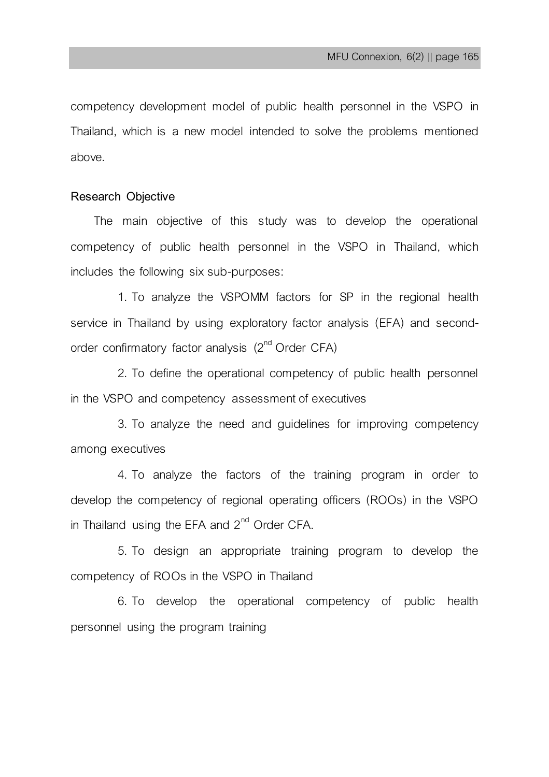competency development model of public health personnel in the VSPO in Thailand, which is a new model intended to solve the problems mentioned above.

### **Research Objective**

The main objective of this study was to develop the operational competency of public health personnel in the VSPO in Thailand, which includes the following six sub-purposes:

1. To analyze the VSPOMM factors for SP in the regional health service in Thailand by using exploratory factor analysis (EFA) and secondorder confirmatory factor analysis  $(2^{nd}$  Order CFA)

2. To define the operational competency of public health personnel in the VSPO and competency assessment of executives

3. To analyze the need and guidelines for improving competency among executives

4. To analyze the factors of the training program in order to develop the competency of regional operating officers (ROOs) in the VSPO in Thailand using the EFA and  $2<sup>nd</sup>$  Order CFA.

5. To design an appropriate training program to develop the competency of ROOs in the VSPO in Thailand

6. To develop the operational competency of public health personnel using the program training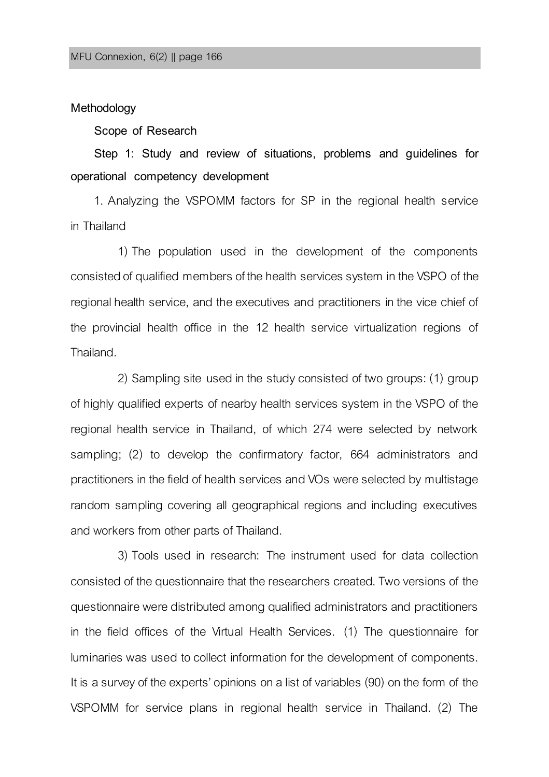### **Methodology**

#### **Scope of Research**

**Step 1: Study and review of situations, problems and guidelines for operational competency development**

1. Analyzing the VSPOMM factors for SP in the regional health service in Thailand

1) The population used in the development of the components consisted of qualified members of the health services system in the VSPO of the regional health service, and the executives and practitioners in the vice chief of the provincial health office in the 12 health service virtualization regions of Thailand.

2) Sampling site used in the study consisted of two groups: (1) group of highly qualified experts of nearby health services system in the VSPO of the regional health service in Thailand, of which 274 were selected by network sampling; (2) to develop the confirmatory factor, 664 administrators and practitioners in the field of health services and VOs were selected by multistage random sampling covering all geographical regions and including executives and workers from other parts of Thailand.

3) Tools used in research: The instrument used for data collection consisted of the questionnaire that the researchers created. Two versions of the questionnaire were distributed among qualified administrators and practitioners in the field offices of the Virtual Health Services. (1) The questionnaire for luminaries was used to collect information for the development of components. It is a survey of the experts' opinions on a list of variables (90) on the form of the VSPOMM for service plans in regional health service in Thailand. (2) The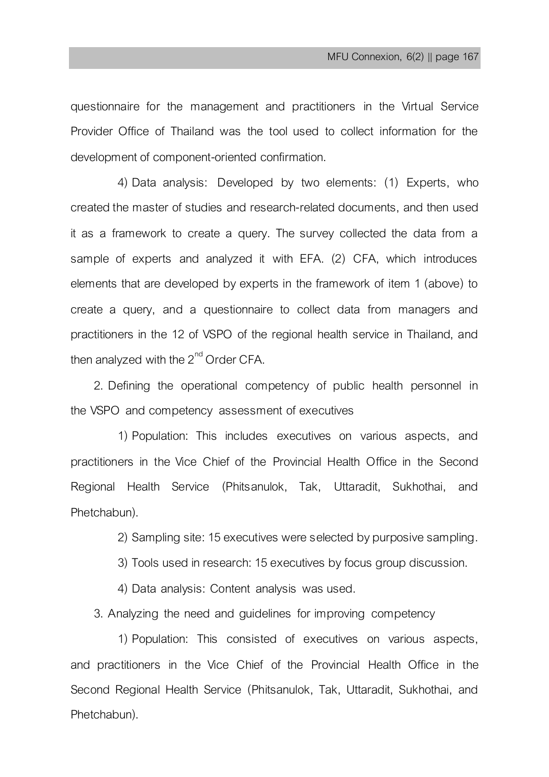questionnaire for the management and practitioners in the Virtual Service Provider Office of Thailand was the tool used to collect information for the development of component-oriented confirmation.

4) Data analysis: Developed by two elements: (1) Experts, who created the master of studies and research-related documents, and then used it as a framework to create a query. The survey collected the data from a sample of experts and analyzed it with EFA. (2) CFA, which introduces elements that are developed by experts in the framework of item 1 (above) to create a query, and a questionnaire to collect data from managers and practitioners in the 12 of VSPO of the regional health service in Thailand, and then analyzed with the  $2^{nd}$  Order CFA.

2. Defining the operational competency of public health personnel in the VSPO and competency assessment of executives

1) Population: This includes executives on various aspects, and practitioners in the Vice Chief of the Provincial Health Office in the Second Regional Health Service (Phitsanulok, Tak, Uttaradit, Sukhothai, and Phetchabun).

2) Sampling site: 15 executives were selected by purposive sampling.

3) Tools used in research: 15 executives by focus group discussion.

4) Data analysis: Content analysis was used.

3. Analyzing the need and guidelines for improving competency

1) Population: This consisted of executives on various aspects, and practitioners in the Vice Chief of the Provincial Health Office in the Second Regional Health Service (Phitsanulok, Tak, Uttaradit, Sukhothai, and Phetchabun).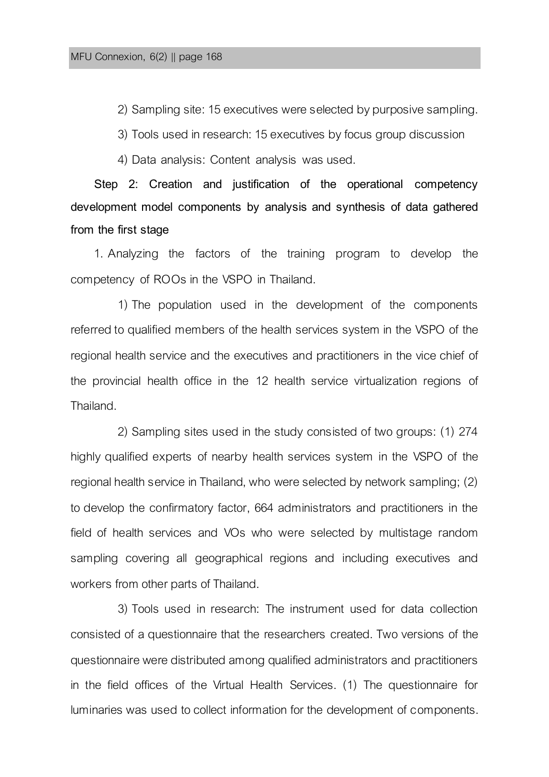2) Sampling site: 15 executives were selected by purposive sampling.

3) Tools used in research: 15 executives by focus group discussion

4) Data analysis: Content analysis was used.

**Step 2: Creation and justification of the operational competency development model components by analysis and synthesis of data gathered from the first stage**

1. Analyzing the factors of the training program to develop the competency of ROOs in the VSPO in Thailand.

1) The population used in the development of the components referred to qualified members of the health services system in the VSPO of the regional health service and the executives and practitioners in the vice chief of the provincial health office in the 12 health service virtualization regions of Thailand.

2) Sampling sites used in the study consisted of two groups: (1) 274 highly qualified experts of nearby health services system in the VSPO of the regional health service in Thailand, who were selected by network sampling; (2) to develop the confirmatory factor, 664 administrators and practitioners in the field of health services and VOs who were selected by multistage random sampling covering all geographical regions and including executives and workers from other parts of Thailand.

3) Tools used in research: The instrument used for data collection consisted of a questionnaire that the researchers created. Two versions of the questionnaire were distributed among qualified administrators and practitioners in the field offices of the Virtual Health Services. (1) The questionnaire for luminaries was used to collect information for the development of components.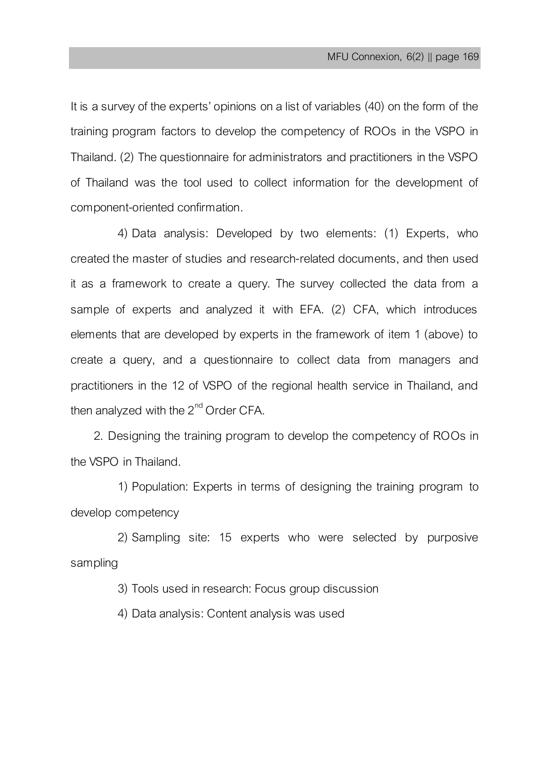It is a survey of the experts' opinions on a list of variables (40) on the form of the training program factors to develop the competency of ROOs in the VSPO in Thailand. (2) The questionnaire for administrators and practitioners in the VSPO of Thailand was the tool used to collect information for the development of component-oriented confirmation.

4) Data analysis: Developed by two elements: (1) Experts, who created the master of studies and research-related documents, and then used it as a framework to create a query. The survey collected the data from a sample of experts and analyzed it with EFA. (2) CFA, which introduces elements that are developed by experts in the framework of item 1 (above) to create a query, and a questionnaire to collect data from managers and practitioners in the 12 of VSPO of the regional health service in Thailand, and then analyzed with the  $2<sup>nd</sup>$  Order CFA.

2. Designing the training program to develop the competency of ROOs in the VSPO in Thailand.

1) Population: Experts in terms of designing the training program to develop competency

2) Sampling site: 15 experts who were selected by purposive sampling

3) Tools used in research: Focus group discussion

4) Data analysis: Content analysis was used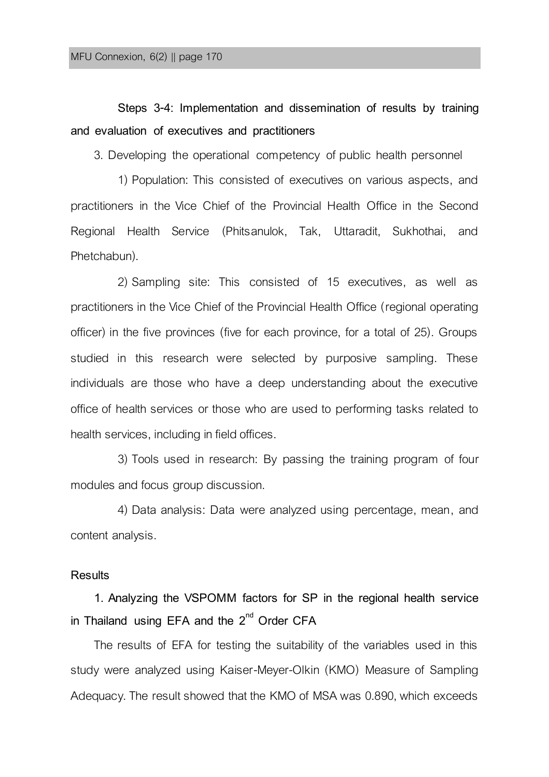# **Steps 3-4: Implementation and dissemination of results by training and evaluation of executives and practitioners**

3. Developing the operational competency of public health personnel

1) Population: This consisted of executives on various aspects, and practitioners in the Vice Chief of the Provincial Health Office in the Second Regional Health Service (Phitsanulok, Tak, Uttaradit, Sukhothai, and Phetchabun).

2) Sampling site: This consisted of 15 executives, as well as practitioners in the Vice Chief of the Provincial Health Office (regional operating officer) in the five provinces (five for each province, for a total of 25). Groups studied in this research were selected by purposive sampling. These individuals are those who have a deep understanding about the executive office of health services or those who are used to performing tasks related to health services, including in field offices.

3) Tools used in research: By passing the training program of four modules and focus group discussion.

4) Data analysis: Data were analyzed using percentage, mean, and content analysis.

### **Results**

**1. Analyzing the VSPOMM factors for SP in the regional health service in Thailand using EFA and the 2nd Order CFA**

The results of EFA for testing the suitability of the variables used in this study were analyzed using Kaiser-Meyer-Olkin (KMO) Measure of Sampling Adequacy. The result showed that the KMO of MSA was 0.890, which exceeds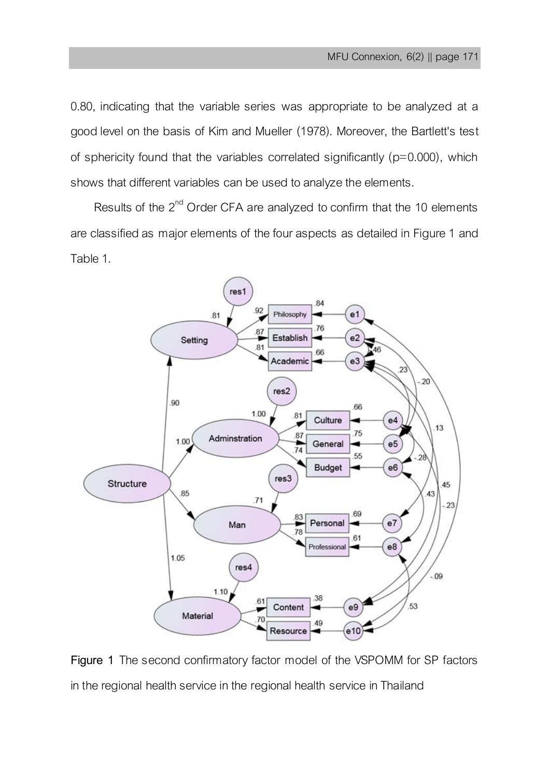0.80, indicating that the variable series was appropriate to be analyzed at a good level on the basis of Kim and Mueller (1978). Moreover, the Bartlett's test of sphericity found that the variables correlated significantly (p=0.000), which shows that different variables can be used to analyze the elements.

Results of the  $2<sup>nd</sup>$  Order CFA are analyzed to confirm that the 10 elements are classified as major elements of the four aspects as detailed in Figure 1 and Table 1.



**Figure 1** The second confirmatory factor model of the VSPOMM for SP factors in the regional health service in the regional health service in Thailand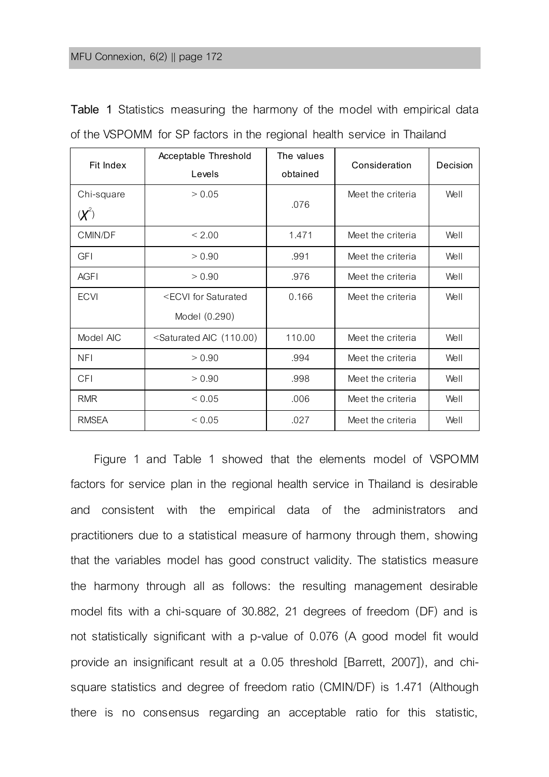| Fit Index   | Acceptable Threshold                                                                                    | The values | Consideration     | Decision |
|-------------|---------------------------------------------------------------------------------------------------------|------------|-------------------|----------|
|             | Levels                                                                                                  | obtained   |                   |          |
| Chi-square  | > 0.05                                                                                                  |            | Meet the criteria | Well     |
| $(X^2)$     |                                                                                                         | .076       |                   |          |
| CMIN/DF     | < 2.00                                                                                                  | 1.471      | Meet the criteria | Well     |
| <b>GFI</b>  | > 0.90                                                                                                  | .991       | Meet the criteria | Well     |
| <b>AGFI</b> | > 0.90                                                                                                  | .976       | Meet the criteria | Well     |
| <b>ECVI</b> | <ecvi for="" saturated<="" td=""><td>0.166</td><td>Meet the criteria</td><td>Well</td></ecvi>           | 0.166      | Meet the criteria | Well     |
|             | Model (0.290)                                                                                           |            |                   |          |
| Model AIC   | <saturated (110.00)<="" aic="" td=""><td>110.00</td><td>Meet the criteria</td><td>Well</td></saturated> | 110.00     | Meet the criteria | Well     |
| <b>NFI</b>  | > 0.90                                                                                                  | .994       | Meet the criteria | Well     |
| <b>CFI</b>  | > 0.90                                                                                                  | .998       | Meet the criteria | Well     |
| <b>RMR</b>  | ${}_{0.05}$                                                                                             | .006       | Meet the criteria | Well     |
| RMSEA       | ${}_{0.05}$                                                                                             | .027       | Meet the criteria | Well     |

**Table 1** Statistics measuring the harmony of the model with empirical data of the VSPOMM for SP factors in the regional health service in Thailand

Figure 1 and Table 1 showed that the elements model of VSPOMM factors for service plan in the regional health service in Thailand is desirable and consistent with the empirical data of the administrators and practitioners due to a statistical measure of harmony through them, showing that the variables model has good construct validity. The statistics measure the harmony through all as follows: the resulting management desirable model fits with a chi-square of 30.882, 21 degrees of freedom (DF) and is not statistically significant with a p-value of 0.076 (A good model fit would provide an insignificant result at a 0.05 threshold [Barrett, 2007]), and chisquare statistics and degree of freedom ratio (CMIN/DF) is 1.471 (Although there is no consensus regarding an acceptable ratio for this statistic,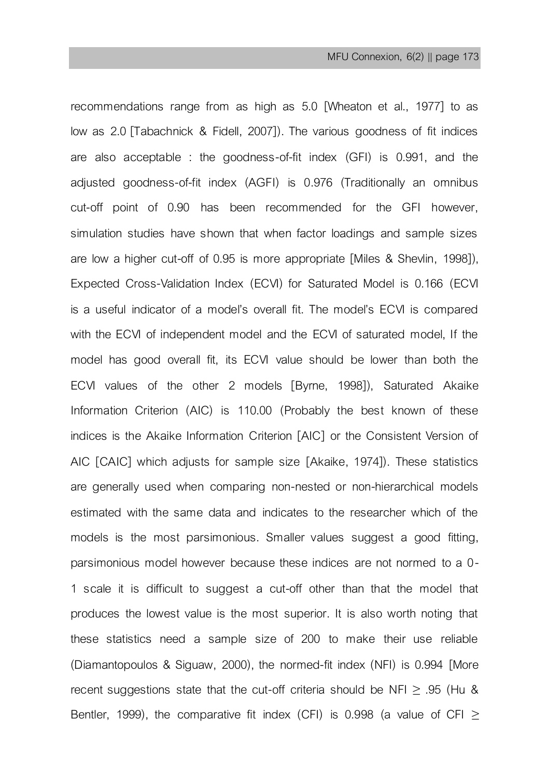recommendations range from as high as 5.0 [Wheaton et al., 1977] to as low as 2.0 [Tabachnick & Fidell, 2007]). The various goodness of fit indices are also acceptable : the goodness-of-fit index (GFI) is 0.991, and the adjusted goodness-of-fit index (AGFI) is 0.976 (Traditionally an omnibus cut-off point of 0.90 has been recommended for the GFI however, simulation studies have shown that when factor loadings and sample sizes are low a higher cut-off of 0.95 is more appropriate [Miles & Shevlin, 1998]), Expected Cross-Validation Index (ECVI) for Saturated Model is 0.166 (ECVI is a useful indicator of a model's overall fit. The model's ECVI is compared with the ECVI of independent model and the ECVI of saturated model, If the model has good overall fit, its ECVI value should be lower than both the ECVI values of the other 2 models [Byrne, 1998]), Saturated Akaike Information Criterion (AIC) is 110.00 (Probably the best known of these indices is the Akaike Information Criterion [AIC] or the Consistent Version of AIC [CAIC] which adjusts for sample size [Akaike, 1974]). These statistics are generally used when comparing non-nested or non-hierarchical models estimated with the same data and indicates to the researcher which of the models is the most parsimonious. Smaller values suggest a good fitting, parsimonious model however because these indices are not normed to a 0- 1 scale it is difficult to suggest a cut-off other than that the model that produces the lowest value is the most superior. It is also worth noting that these statistics need a sample size of 200 to make their use reliable (Diamantopoulos & Siguaw, 2000), the normed-fit index (NFI) is 0.994 [More recent suggestions state that the cut-off criteria should be NFI  $\geq$  .95 (Hu & Bentler, 1999), the comparative fit index (CFI) is 0.998 (a value of CFI  $\ge$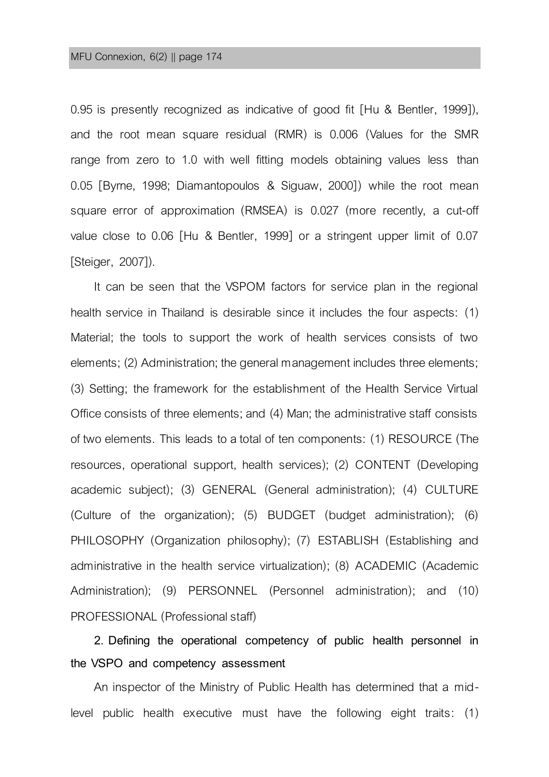0.95 is presently recognized as indicative of good fit [Hu & Bentler, 1999]), and the root mean square residual (RMR) is 0.006 (Values for the SMR range from zero to 1.0 with well fitting models obtaining values less than 0.05 [Byrne, 1998; Diamantopoulos & Siguaw, 2000]) while the root mean square error of approximation (RMSEA) is 0.027 (more recently, a cut-off value close to 0.06 [Hu & Bentler, 1999] or a stringent upper limit of 0.07 [Steiger, 2007]).

It can be seen that the VSPOM factors for service plan in the regional health service in Thailand is desirable since it includes the four aspects: (1) Material; the tools to support the work of health services consists of two elements; (2) Administration; the general management includes three elements; (3) Setting; the framework for the establishment of the Health Service Virtual Office consists of three elements; and (4) Man; the administrative staff consists of two elements. This leads to a total of ten components: (1) RESOURCE (The resources, operational support, health services); (2) CONTENT (Developing academic subject); (3) GENERAL (General administration); (4) CULTURE (Culture of the organization); (5) BUDGET (budget administration); (6) PHILOSOPHY (Organization philosophy); (7) ESTABLISH (Establishing and administrative in the health service virtualization); (8) ACADEMIC (Academic Administration); (9) PERSONNEL (Personnel administration); and (10) PROFESSIONAL(Professional staff)

**2. Defining the operational competency of public health personnel in the VSPO and competency assessment** 

An inspector of the Ministry of Public Health has determined that a midlevel public health executive must have the following eight traits: (1)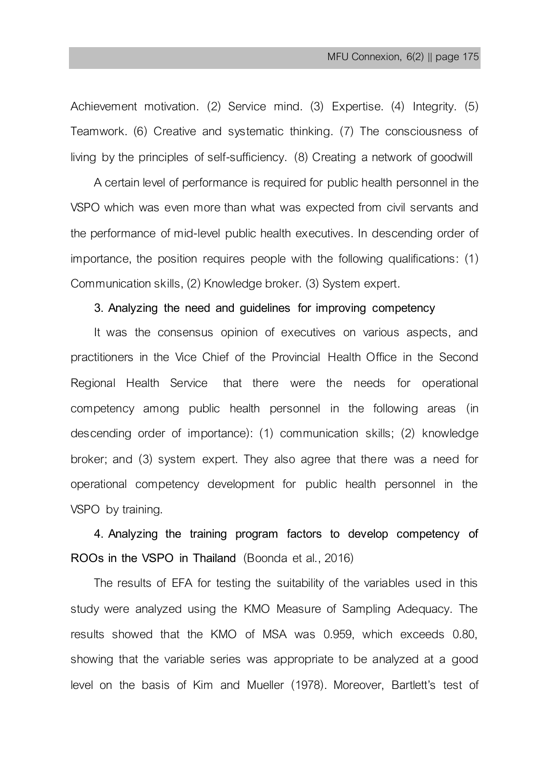Achievement motivation. (2) Service mind. (3) Expertise. (4) Integrity. (5) Teamwork. (6) Creative and systematic thinking. (7) The consciousness of living by the principles of self-sufficiency. (8) Creating a network of goodwill

A certain level of performance is required for public health personnel in the VSPO which was even more than what was expected from civil servants and the performance of mid-level public health executives. In descending order of importance, the position requires people with the following qualifications: (1) Communication skills, (2) Knowledge broker. (3) System expert.

#### **3. Analyzing the need and guidelines for improving competency**

It was the consensus opinion of executives on various aspects, and practitioners in the Vice Chief of the Provincial Health Office in the Second Regional Health Service that there were the needs for operational competency among public health personnel in the following areas (in descending order of importance): (1) communication skills; (2) knowledge broker; and (3) system expert. They also agree that there was a need for operational competency development for public health personnel in the VSPO by training.

**4. Analyzing the training program factors to develop competency of ROOs in the VSPO in Thailand** (Boonda et al., 2016)

The results of EFA for testing the suitability of the variables used in this study were analyzed using the KMO Measure of Sampling Adequacy. The results showed that the KMO of MSA was 0.959, which exceeds 0.80, showing that the variable series was appropriate to be analyzed at a good level on the basis of [Kim](https://www.google.co.th/search?hl=th&tbo=p&tbm=bks&q=inauthor:%22Jae-On+Kim%22&source=gbs_metadata_r&cad=10) and [Mueller](https://www.google.co.th/search?hl=th&tbo=p&tbm=bks&q=inauthor:%22Charles+W.+Mueller%22&source=gbs_metadata_r&cad=10) (1978). Moreover, Bartlett's test of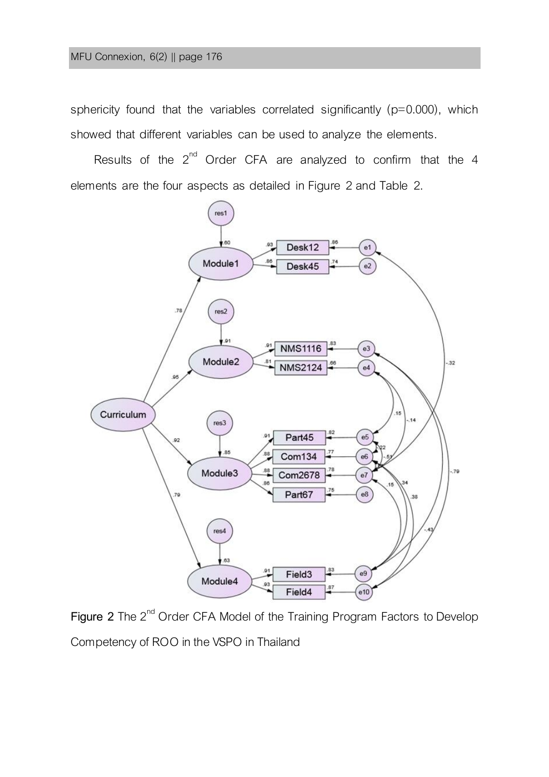sphericity found that the variables correlated significantly (p=0.000), which showed that different variables can be used to analyze the elements.

Results of the  $2^{nd}$  Order CFA are analyzed to confirm that the 4 elements are the four aspects as detailed in Figure 2 and Table 2.



Figure 2 The 2<sup>nd</sup> Order CFA Model of the Training Program Factors to Develop Competency of ROO in the VSPO in Thailand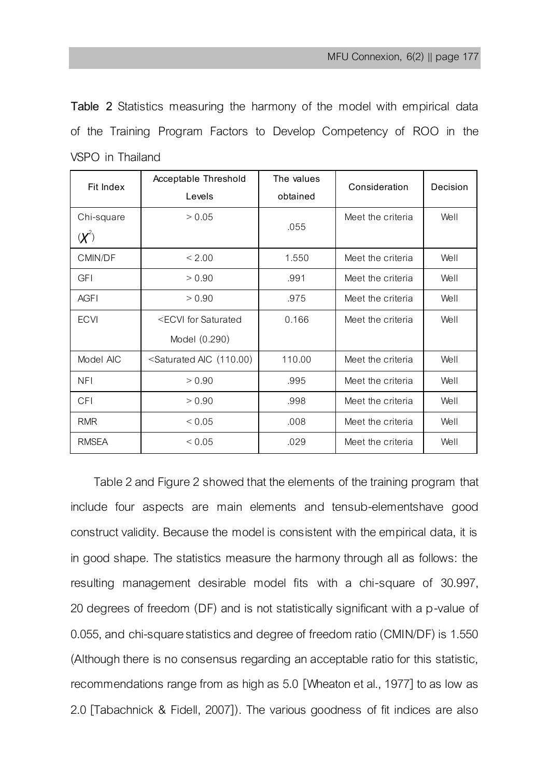**Table 2** Statistics measuring the harmony of the model with empirical data of the Training Program Factors to Develop Competency of ROO in the VSPO in Thailand

| Fit Index     | Acceptable Threshold                                                                                    | The values | Consideration     | Decision |
|---------------|---------------------------------------------------------------------------------------------------------|------------|-------------------|----------|
|               | Levels                                                                                                  | obtained   |                   |          |
| Chi-square    | > 0.05                                                                                                  |            | Meet the criteria | Well     |
| $\mathcal{X}$ |                                                                                                         | .055       |                   |          |
| CMIN/DF       | < 2.00                                                                                                  | 1.550      | Meet the criteria | Well     |
| <b>GFI</b>    | > 0.90                                                                                                  | .991       | Meet the criteria | Well     |
| <b>AGFI</b>   | > 0.90                                                                                                  | .975       | Meet the criteria | Well     |
| <b>ECVI</b>   | <ecvi for="" saturated<="" td=""><td>0.166</td><td>Meet the criteria</td><td>Well</td></ecvi>           | 0.166      | Meet the criteria | Well     |
|               | Model (0.290)                                                                                           |            |                   |          |
| Model AIC     | <saturated (110.00)<="" aic="" td=""><td>110.00</td><td>Meet the criteria</td><td>Well</td></saturated> | 110.00     | Meet the criteria | Well     |
| NFI           | > 0.90                                                                                                  | .995       | Meet the criteria | Well     |
| <b>CFI</b>    | > 0.90                                                                                                  | .998       | Meet the criteria | Well     |
| <b>RMR</b>    | ${}_{0.05}$                                                                                             | .008       | Meet the criteria | Well     |
| RMSEA         | ${}_{0.05}$                                                                                             | .029       | Meet the criteria | Well     |

Table 2 and Figure 2 showed that the elements of the training program that include four aspects are main elements and tensub-elementshave good construct validity. Because the model is consistent with the empirical data, it is in good shape. The statistics measure the harmony through all as follows: the resulting management desirable model fits with a chi-square of 30.997, 20 degrees of freedom (DF) and is not statistically significant with a p-value of 0.055, and chi-square statistics and degree of freedom ratio (CMIN/DF) is 1.550 (Although there is no consensus regarding an acceptable ratio for this statistic, recommendations range from as high as 5.0 [Wheaton et al., 1977] to as low as 2.0 [Tabachnick & Fidell, 2007]). The various goodness of fit indices are also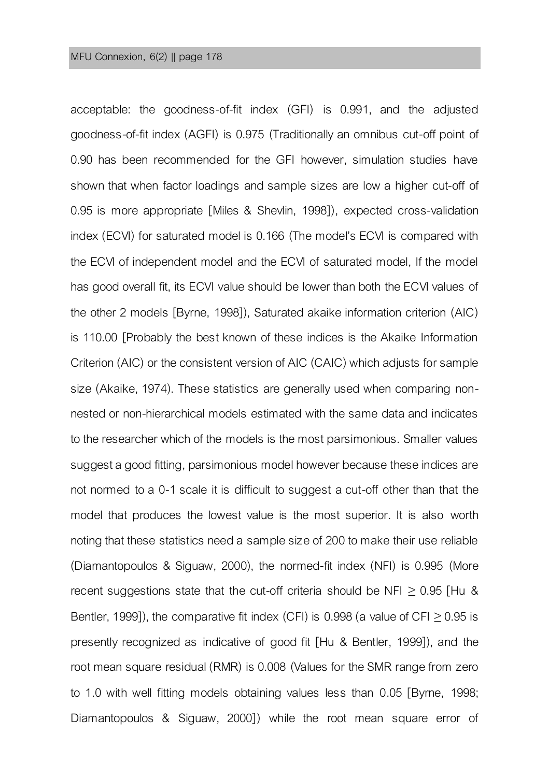acceptable: the goodness-of-fit index (GFI) is 0.991, and the adjusted goodness-of-fit index (AGFI) is 0.975 (Traditionally an omnibus cut-off point of 0.90 has been recommended for the GFI however, simulation studies have shown that when factor loadings and sample sizes are low a higher cut-off of 0.95 is more appropriate [Miles & Shevlin, 1998]), expected cross-validation index (ECVI) for saturated model is 0.166 (The model's ECVI is compared with the ECVI of independent model and the ECVI of saturated model, If the model has good overall fit, its ECVI value should be lower than both the ECVI values of the other 2 models [Byrne, 1998]), Saturated akaike information criterion (AIC) is 110.00 [Probably the best known of these indices is the Akaike Information Criterion (AIC) or the consistent version of AIC (CAIC) which adjusts for sample size (Akaike, 1974). These statistics are generally used when comparing nonnested or non-hierarchical models estimated with the same data and indicates to the researcher which of the models is the most parsimonious. Smaller values suggest a good fitting, parsimonious model however because these indices are not normed to a 0-1 scale it is difficult to suggest a cut-off other than that the model that produces the lowest value is the most superior. It is also worth noting that these statistics need a sample size of 200 to make their use reliable (Diamantopoulos & Siguaw, 2000), the normed-fit index (NFI) is 0.995 (More recent suggestions state that the cut-off criteria should be NFI  $\geq$  0.95 [Hu & Bentler, 1999]), the comparative fit index (CFI) is 0.998 (a value of CFI  $\geq$  0.95 is presently recognized as indicative of good fit [Hu & Bentler, 1999]), and the root mean square residual (RMR) is 0.008 (Values for the SMR range from zero to 1.0 with well fitting models obtaining values less than 0.05 [Byrne, 1998; Diamantopoulos & Siguaw, 2000]) while the root mean square error of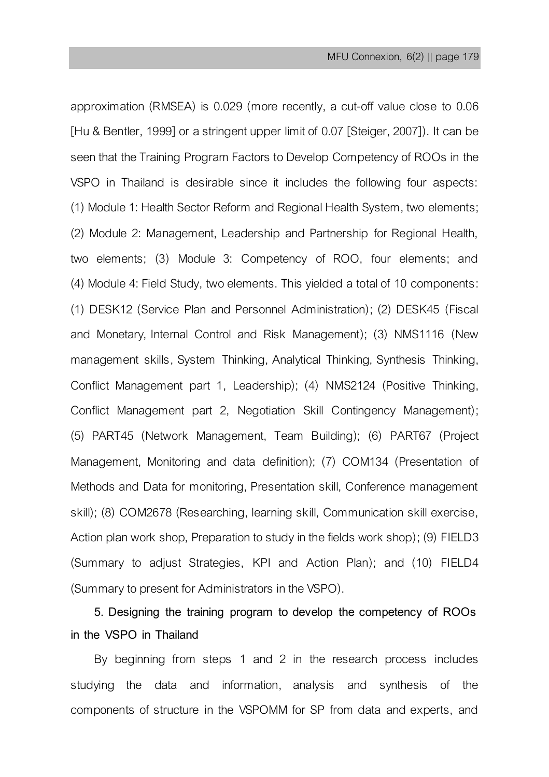approximation (RMSEA) is 0.029 (more recently, a cut-off value close to 0.06 [Hu & Bentler, 1999] or a stringent upper limit of 0.07 [Steiger, 2007]). It can be seen that the Training Program Factors to Develop Competency of ROOs in the VSPO in Thailand is desirable since it includes the following four aspects: (1) Module 1: Health Sector Reform and Regional Health System, two elements; (2) Module 2: Management, Leadership and Partnership for Regional Health, two elements; (3) Module 3: Competency of ROO, four elements; and (4) Module 4: Field Study, two elements. This yielded a total of 10 components: (1) DESK12 (Service Plan and Personnel Administration); (2) DESK45 (Fiscal and Monetary, Internal Control and Risk Management); (3) NMS1116 (New management skills, System Thinking, Analytical Thinking, Synthesis Thinking, Conflict Management part 1, Leadership); (4) NMS2124 (Positive Thinking, Conflict Management part 2, Negotiation Skill Contingency Management); (5) PART45 (Network Management, Team Building); (6) PART67 (Project Management, Monitoring and data definition); (7) COM134 (Presentation of Methods and Data for monitoring, Presentation skill, Conference management skill); (8) COM2678 (Researching, learning skill, Communication skill exercise, Action plan work shop, Preparation to study in the fields work shop); (9) FIELD3 (Summary to adjust Strategies, KPI and Action Plan); and (10) FIELD4 (Summary to present for Administrators in the VSPO).

## **5. Designing the training program to develop the competency of ROOs in the VSPO in Thailand**

By beginning from steps 1 and 2 in the research process includes studying the data and information, analysis and synthesis of the components of structure in the VSPOMM for SP from data and experts, and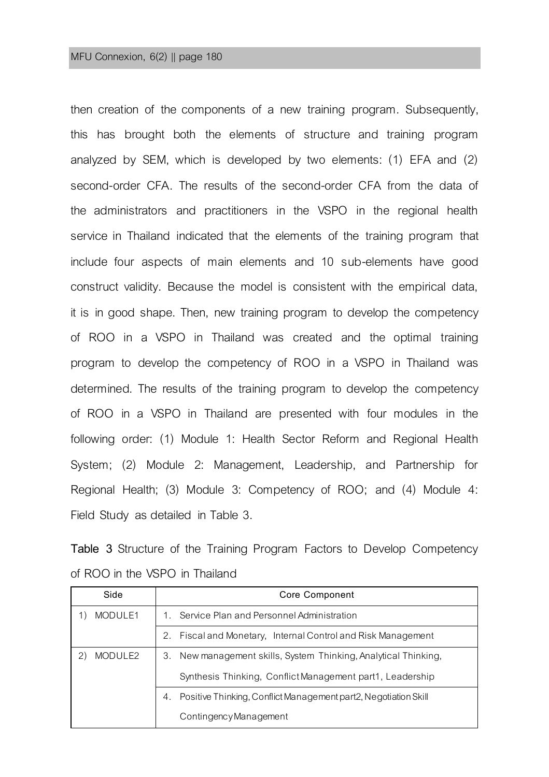then creation of the components of a new training program. Subsequently, this has brought both the elements of structure and training program analyzed by SEM, which is developed by two elements: (1) EFA and (2) second-order CFA. The results of the second-order CFA from the data of the administrators and practitioners in the VSPO in the regional health service in Thailand indicated that the elements of the training program that include four aspects of main elements and 10 sub-elements have good construct validity. Because the model is consistent with the empirical data, it is in good shape. Then, new training program to develop the competency of ROO in a VSPO in Thailand was created and the optimal training program to develop the competency of ROO in a VSPO in Thailand was determined. The results of the training program to develop the competency of ROO in a VSPO in Thailand are presented with four modules in the following order: (1) Module 1: Health Sector Reform and Regional Health System; (2) Module 2: Management, Leadership, and Partnership for Regional Health; (3) Module 3: Competency of ROO; and (4) Module 4: Field Study as detailed in Table 3.

**Table 3** Structure of the Training Program Factors to Develop Competency of ROO in the VSPO in Thailand

| Side    | Core Component                                                        |  |
|---------|-----------------------------------------------------------------------|--|
| MODULE1 | 1. Service Plan and Personnel Administration                          |  |
|         | 2. Fiscal and Monetary, Internal Control and Risk Management          |  |
| MODULE2 | New management skills, System Thinking, Analytical Thinking,<br>3.    |  |
|         | Synthesis Thinking, Conflict Management part1, Leadership             |  |
|         | Positive Thinking, Conflict Management part2, Negotiation Skill<br>4. |  |
|         | Contingency Management                                                |  |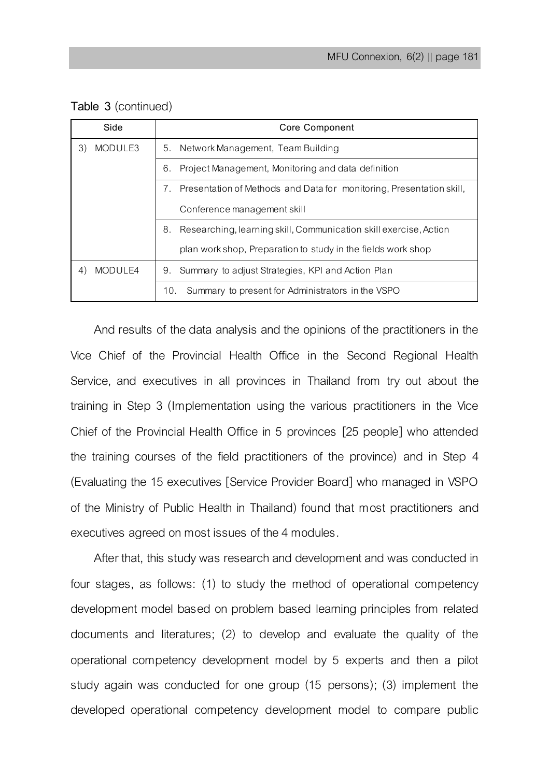| Table 3 (continued) |
|---------------------|
|                     |

| Side                 | Core Component                                                             |  |
|----------------------|----------------------------------------------------------------------------|--|
| 3)<br>MODULE3        | 5. Network Management, Team Building                                       |  |
|                      | Project Management, Monitoring and data definition<br>6.                   |  |
|                      | Presentation of Methods and Data for monitoring, Presentation skill,<br>7. |  |
|                      | Conference management skill                                                |  |
|                      | Researching, learning skill, Communication skill exercise, Action<br>8.    |  |
|                      | plan work shop, Preparation to study in the fields work shop               |  |
| <b>MODULE4</b><br>4) | 9. Summary to adjust Strategies, KPI and Action Plan                       |  |
|                      | Summary to present for Administrators in the VSPO<br>10.                   |  |

And results of the data analysis and the opinions of the practitioners in the Vice Chief of the Provincial Health Office in the Second Regional Health Service, and executives in all provinces in Thailand from try out about the training in Step 3 (Implementation using the various practitioners in the Vice Chief of the Provincial Health Office in 5 provinces [25 people] who attended the training courses of the field practitioners of the province) and in Step 4 (Evaluating the 15 executives [Service Provider Board] who managed in VSPO of the Ministry of Public Health in Thailand) found that most practitioners and executives agreed on most issues of the 4 modules.

After that, this study was research and development and was conducted in four stages, as follows: (1) to study the method of operational competency development model based on problem based learning principles from related documents and literatures; (2) to develop and evaluate the quality of the operational competency development model by 5 experts and then a pilot study again was conducted for one group (15 persons); (3) implement the developed operational competency development model to compare public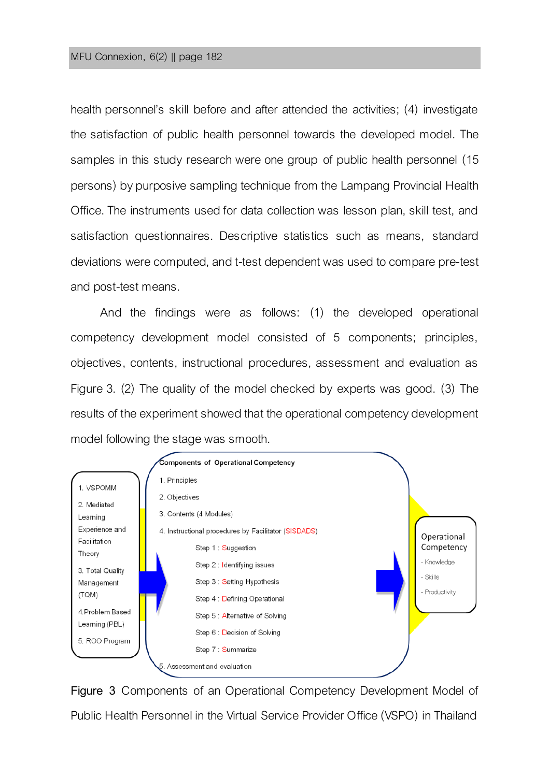#### MFU Connexion, 6(2) || page 182

health personnel's skill before and after attended the activities; (4) investigate the satisfaction of public health personnel towards the developed model. The samples in this study research were one group of public health personnel (15 persons) by purposive sampling technique from the Lampang Provincial Health Office. The instruments used for data collection was lesson plan, skill test, and satisfaction questionnaires. Descriptive statistics such as means, standard deviations were computed, and t-test dependent was used to compare pre-test and post-test means.

And the findings were as follows: (1) the developed operational competency development model consisted of 5 components; principles, objectives, contents, instructional procedures, assessment and evaluation as Figure 3. (2) The quality of the model checked by experts was good. (3) The results of the experiment showed that the operational competency development model following the stage was smooth.



**Figure 3** Components of an Operational Competency Development Model of Public Health Personnel in the Virtual Service Provider Office (VSPO) in Thailand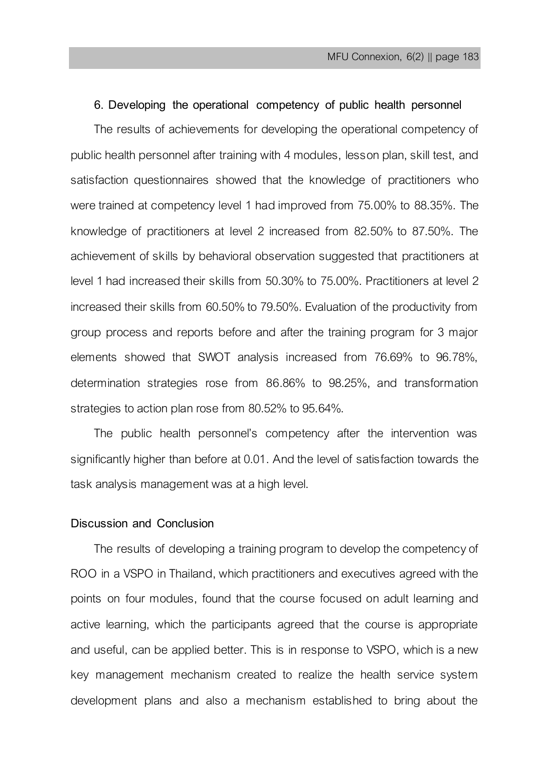### **6. Developing the operational competency of public health personnel**

The results of achievements for developing the operational competency of public health personnel after training with 4 modules, lesson plan, skill test, and satisfaction questionnaires showed that the knowledge of practitioners who were trained at competency level 1 had improved from 75.00% to 88.35%. The knowledge of practitioners at level 2 increased from 82.50% to 87.50%. The achievement of skills by behavioral observation suggested that practitioners at level 1 had increased their skills from 50.30% to 75.00%. Practitioners at level 2 increased their skills from 60.50% to 79.50%. Evaluation of the productivity from group process and reports before and after the training program for 3 major elements showed that SWOT analysis increased from 76.69% to 96.78%, determination strategies rose from 86.86% to 98.25%, and transformation strategies to action plan rose from 80.52% to 95.64%.

The public health personnel's competency after the intervention was significantly higher than before at 0.01. And the level of satisfaction towards the task analysis management was at a high level.

## **Discussion and Conclusion**

The results of developing a training program to develop the competency of ROO in a VSPO in Thailand, which practitioners and executives agreed with the points on four modules, found that the course focused on adult learning and active learning, which the participants agreed that the course is appropriate and useful, can be applied better. This is in response to VSPO, which is a new key management mechanism created to realize the health service system development plans and also a mechanism established to bring about the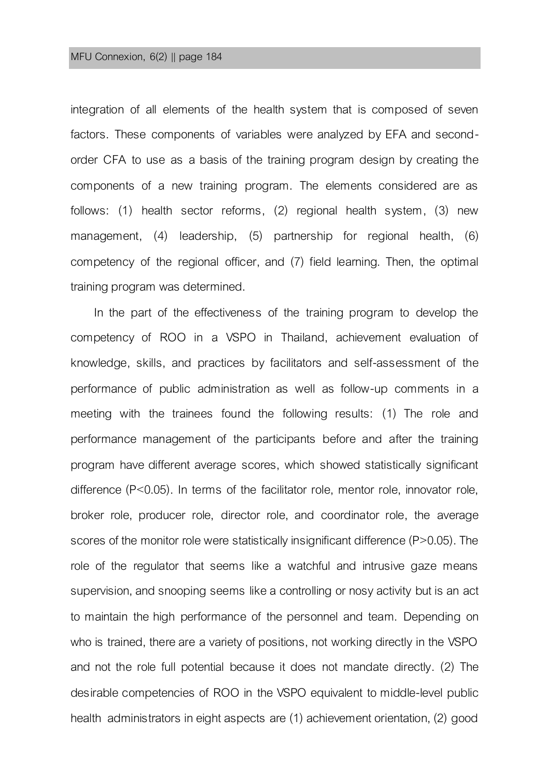#### MFU Connexion, 6(2) || page 184

integration of all elements of the health system that is composed of seven factors. These components of variables were analyzed by EFA and secondorder CFA to use as a basis of the training program design by creating the components of a new training program. The elements considered are as follows: (1) health sector reforms, (2) regional health system, (3) new management, (4) leadership, (5) partnership for regional health, (6) competency of the regional officer, and (7) field learning. Then, the optimal training program was determined.

In the part of the effectiveness of the training program to develop the competency of ROO in a VSPO in Thailand, achievement evaluation of knowledge, skills, and practices by facilitators and self-assessment of the performance of public administration as well as follow-up comments in a meeting with the trainees found the following results: (1) The role and performance management of the participants before and after the training program have different average scores, which showed statistically significant difference (P<0.05). In terms of the facilitator role, mentor role, innovator role, broker role, producer role, director role, and coordinator role, the average scores of the monitor role were statistically insignificant difference (P>0.05). The role of the regulator that seems like a watchful and intrusive gaze means supervision, and snooping seems like a controlling or nosy activity but is an act to maintain the high performance of the personnel and team. Depending on who is trained, there are a variety of positions, not working directly in the VSPO and not the role full potential because it does not mandate directly. (2) The desirable competencies of ROO in the VSPO equivalent to middle-level public health administrators in eight aspects are (1) achievement orientation, (2) good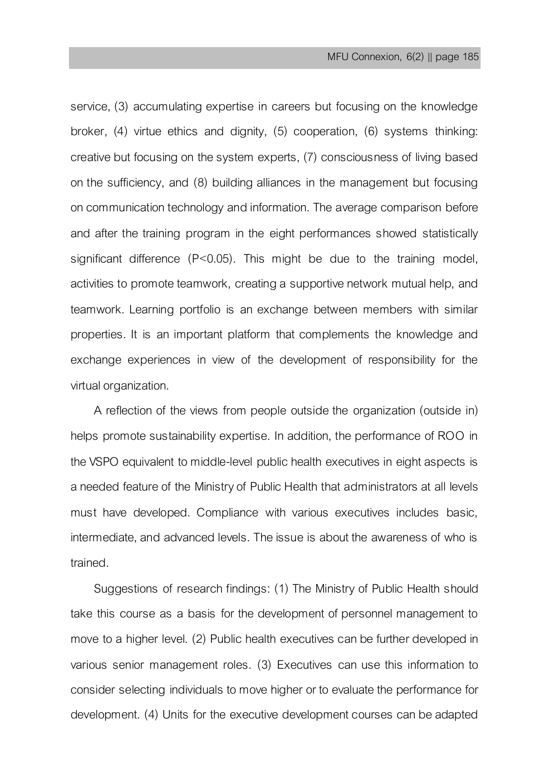service, (3) accumulating expertise in careers but focusing on the knowledge broker, (4) virtue ethics and dignity, (5) cooperation, (6) systems thinking: creative but focusing on the system experts, (7) consciousness of living based on the sufficiency, and (8) building alliances in the management but focusing on communication technology and information.The average comparison before and after the training program in the eight performances showed statistically significant difference (P<0.05). This might be due to the training model, activities to promote teamwork, creating a supportive network mutual help, and teamwork. Learning portfolio is an exchange between members with similar properties. It is an important platform that complements the knowledge and exchange experiences in view of the development of responsibility for the virtual organization.

A reflection of the views from people outside the organization (outside in) helps promote sustainability expertise. In addition, the performance of ROO in the VSPO equivalent to middle-level public health executives in eight aspects is a needed feature of the Ministry of Public Health that administrators at all levels must have developed. Compliance with various executives includes basic, intermediate, and advanced levels. The issue is about the awareness of who is trained.

Suggestions of research findings: (1) The Ministry of Public Health should take this course as a basis for the development of personnel management to move to a higher level. (2) Public health executives can be further developed in various senior management roles. (3) Executives can use this information to consider selecting individuals to move higher or to evaluate the performance for development. (4) Units for the executive development courses can be adapted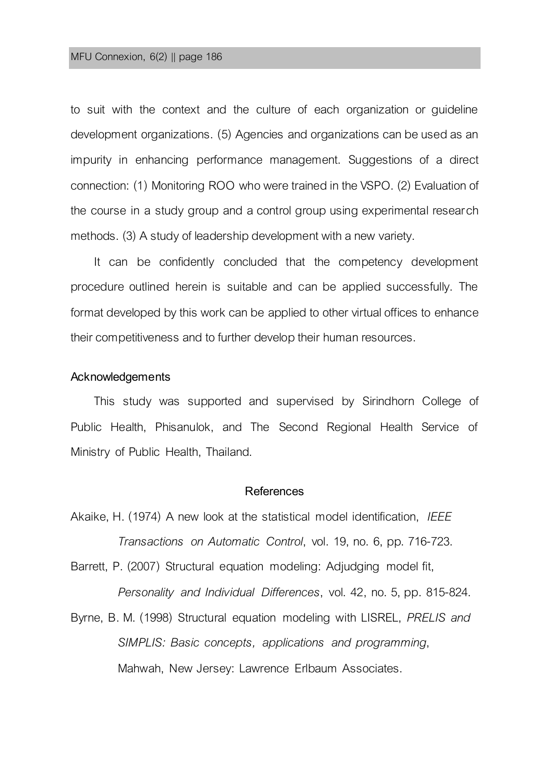to suit with the context and the culture of each organization or guideline development organizations. (5) Agencies and organizations can be used as an impurity in enhancing performance management. Suggestions of a direct connection: (1) Monitoring ROO who were trained in the VSPO. (2) Evaluation of the course in a study group and a control group using experimental research methods. (3) A study of leadership development with a new variety.

It can be confidently concluded that the competency development procedure outlined herein is suitable and can be applied successfully. The format developed by this work can be applied toother virtual offices to enhance their competitiveness and to further develop their human resources.

#### **Acknowledgements**

This study was supported and supervised by Sirindhorn College of Public Health, Phisanulok, and The Second Regional Health Service of Ministry of Public Health, Thailand.

### **References**

- Akaike, H. (1974) A new look at the statistical model identification, *IEEE Transactions on Automatic Control*, vol. 19, no. 6, pp. 716-723.
- Barrett, P. (2007) Structural equation modeling: Adjudging model fit, *Personality and Individual Differences*, vol. 42, no. 5, pp. 815-824.
- Byrne, B. M. (1998) Structural equation modeling with LISREL, *PRELIS and SIMPLIS: Basic concepts, applications and programming*, Mahwah, New Jersey: Lawrence Erlbaum Associates.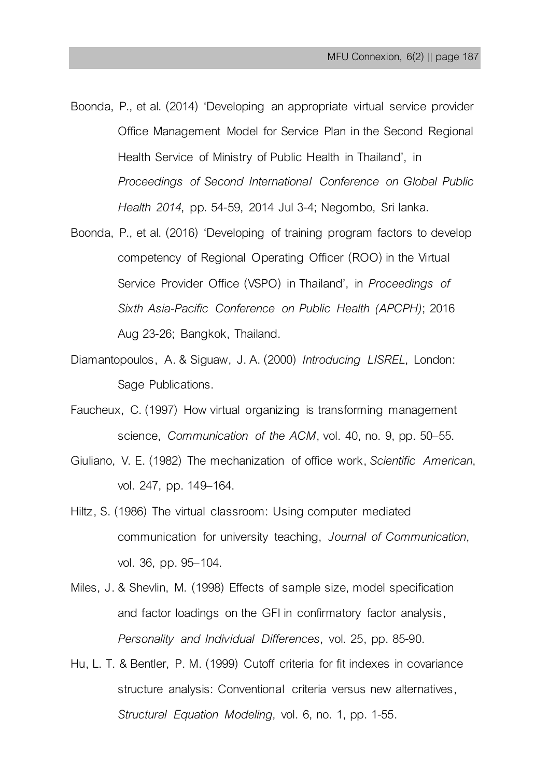- Boonda, P., et al. (2014) 'Developing an appropriate virtual service provider Office Management Model for Service Plan in the Second Regional Health Service of Ministry of Public Health in Thailand', in *Proceedings of Second International Conference on Global Public Health 2014*, pp. 54-59, 2014 Jul 3-4; Negombo, Sri lanka.
- Boonda, P., et al. (2016) 'Developing of training program factors to develop competency of Regional Operating Officer (ROO) in the Virtual Service Provider Office (VSPO) in Thailand', in *Proceedings of Sixth Asia-Pacific Conference on Public Health (APCPH)*; 2016 Aug 23-26; Bangkok, Thailand.
- Diamantopoulos, A. & Siguaw, J. A. (2000) *Introducing LISREL*, London: Sage Publications.
- Faucheux, C. (1997) How virtual organizing is transforming management science, *Communication of the ACM*, vol. 40, no. 9, pp. 50–55.
- Giuliano, V. E. (1982) The mechanization of office work, *Scientific American*, vol. 247, pp. 149–164.
- Hiltz, S. (1986) The virtual classroom: Using computer mediated communication for university teaching, *Journal of Communication*, vol. 36, pp. 95–104.
- Miles, J. & Shevlin, M. (1998) Effects of sample size, model specification and factor loadings on the GFI in confirmatory factor analysis, *Personality and Individual Differences*, vol. 25, pp. 85-90.
- Hu, L. T. & Bentler, P. M. (1999) Cutoff criteria for fit indexes in covariance structure analysis: Conventional criteria versus new alternatives, *Structural Equation Modeling*, vol. 6, no. 1, pp. 1-55.